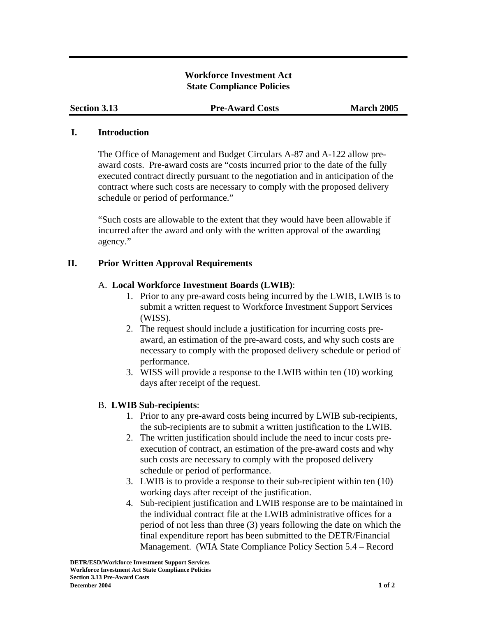## **Workforce Investment Act State Compliance Policies**

**Section 3.13 Pre-Award Costs March 2005** 

## **I. Introduction**

The Office of Management and Budget Circulars A-87 and A-122 allow preaward costs. Pre-award costs are "costs incurred prior to the date of the fully executed contract directly pursuant to the negotiation and in anticipation of the contract where such costs are necessary to comply with the proposed delivery schedule or period of performance."

"Such costs are allowable to the extent that they would have been allowable if incurred after the award and only with the written approval of the awarding agency."

# **II. Prior Written Approval Requirements**

# A. **Local Workforce Investment Boards (LWIB)**:

- 1. Prior to any pre-award costs being incurred by the LWIB, LWIB is to submit a written request to Workforce Investment Support Services (WISS).
- 2. The request should include a justification for incurring costs preaward, an estimation of the pre-award costs, and why such costs are necessary to comply with the proposed delivery schedule or period of performance.
- 3. WISS will provide a response to the LWIB within ten (10) working days after receipt of the request.

# B. **LWIB Sub-recipients**:

- 1. Prior to any pre-award costs being incurred by LWIB sub-recipients, the sub-recipients are to submit a written justification to the LWIB.
- 2. The written justification should include the need to incur costs preexecution of contract, an estimation of the pre-award costs and why such costs are necessary to comply with the proposed delivery schedule or period of performance.
- 3. LWIB is to provide a response to their sub-recipient within ten (10) working days after receipt of the justification.
- 4. Sub-recipient justification and LWIB response are to be maintained in the individual contract file at the LWIB administrative offices for a period of not less than three (3) years following the date on which the final expenditure report has been submitted to the DETR/Financial Management. (WIA State Compliance Policy Section 5.4 – Record